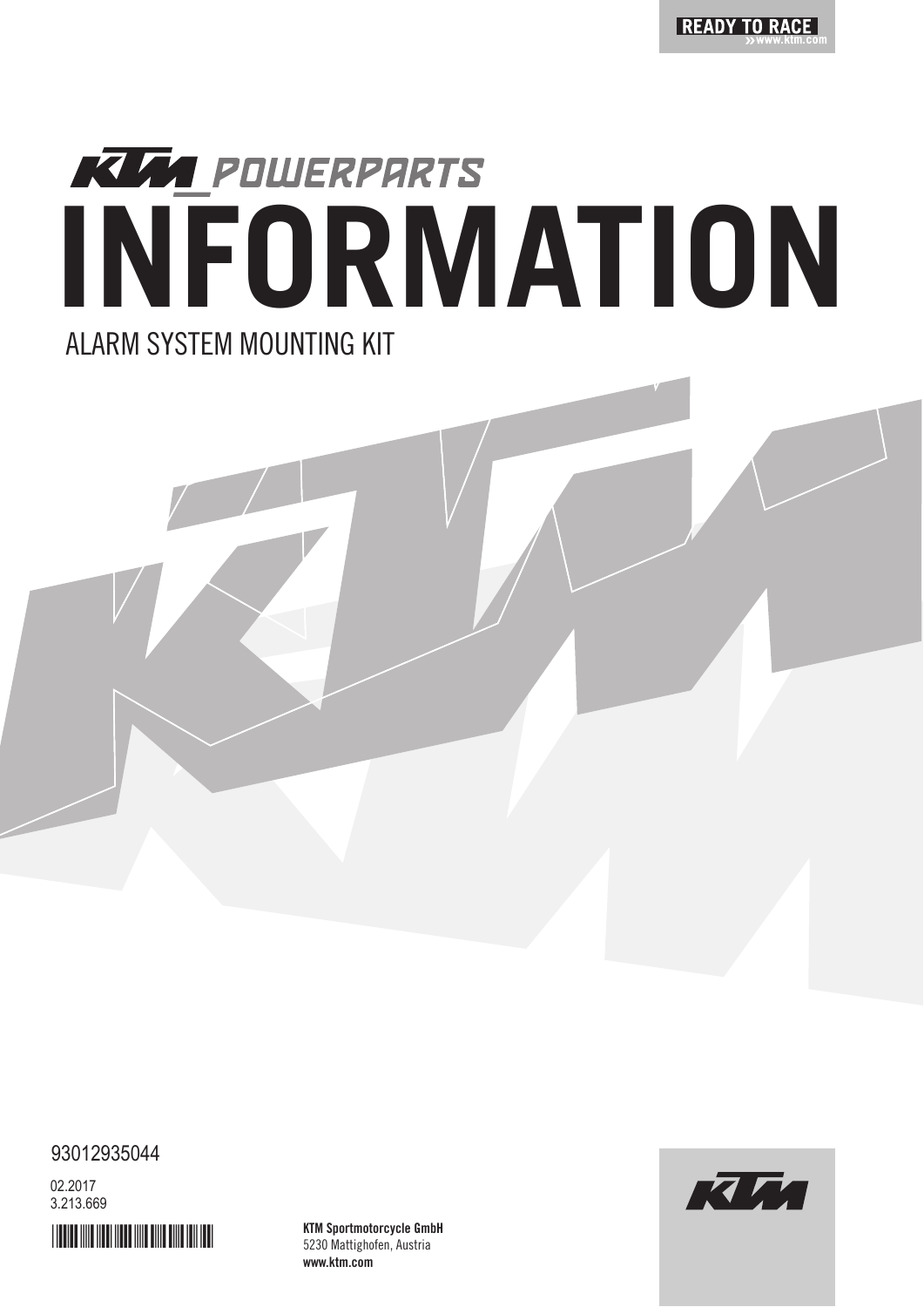

# **KUM POWERPARTS INFORMATION** ALARM SYSTEM MOUNTING KIT

93012935044

3.213.669 02.2017



KTM Sportmotorcycle GmbH 5230 Mattighofen, Austria www.ktm.com

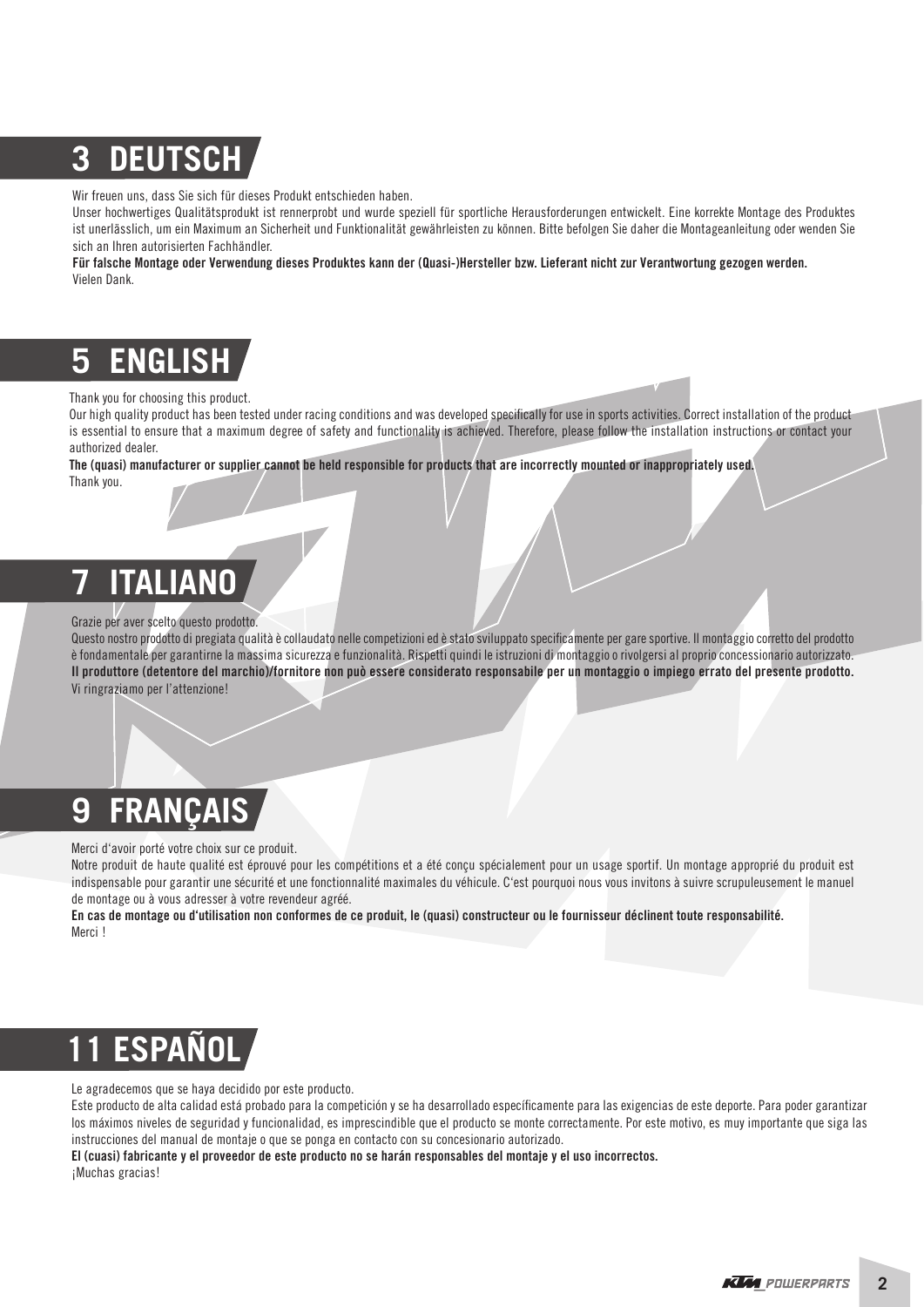# **3 DEUTSCH**

Wir freuen uns, dass Sie sich für dieses Produkt entschieden haben.

Unser hochwertiges Qualitätsprodukt ist rennerprobt und wurde speziell für sportliche Herausforderungen entwickelt. Eine korrekte Montage des Produktes ist unerlässlich, um ein Maximum an Sicherheit und Funktionalität gewährleisten zu können. Bitte befolgen Sie daher die Montageanleitung oder wenden Sie sich an Ihren autorisierten Fachhändler.

Für falsche Montage oder Verwendung dieses Produktes kann der (Quasi-)Hersteller bzw. Lieferant nicht zur Verantwortung gezogen werden. Vielen Dank.

## **5 ENGLISH**

#### Thank you for choosing this product.

Our high quality product has been tested under racing conditions and was developed specifically for use in sports activities. Correct installation of the product is essential to ensure that a maximum degree of safety and functionality is achieved. Therefore, please follow the installation instructions or contact your authorized dealer.

The (quasi) manufacturer or supplier cannot be held responsible for products that are incorrectly mounted or inappropriately used.

Thank you.

### **7 ITALIANO**

#### Grazie per aver scelto questo prodotto.

Questo nostro prodotto di pregiata qualità è collaudato nelle competizioni ed è stato sviluppato specificamente per gare sportive. Il montaggio corretto del prodotto è fondamentale per garantirne la massima sicurezza e funzionalità. Rispetti quindi le istruzioni di montaggio o rivolgersi al proprio concessionario autorizzato. Il produttore (detentore del marchio)/fornitore non può essere considerato responsabile per un montaggio o impiego errato del presente prodotto. Vi ringraziamo per l'attenzione!

### **9 FRANÇAIS**

Merci d'avoir porté votre choix sur ce produit.

Notre produit de haute qualité est éprouvé pour les compétitions et a été conçu spécialement pour un usage sportif. Un montage approprié du produit est indispensable pour garantir une sécurité et une fonctionnalité maximales du véhicule. C'est pourquoi nous vous invitons à suivre scrupuleusement le manuel de montage ou à vous adresser à votre revendeur agréé.

En cas de montage ou d'utilisation non conformes de ce produit, le (quasi) constructeur ou le fournisseur déclinent toute responsabilité. Merci !

# **12 ESPA**

Le agradecemos que se haya decidido por este producto.

Este producto de alta calidad está probado para la competición y se ha desarrollado específicamente para las exigencias de este deporte. Para poder garantizar los máximos niveles de seguridad y funcionalidad, es imprescindible que el producto se monte correctamente. Por este motivo, es muy importante que siga las instrucciones del manual de montaje o que se ponga en contacto con su concesionario autorizado.

El (cuasi) fabricante y el proveedor de este producto no se harán responsables del montaje y el uso incorrectos. ¡Muchas gracias!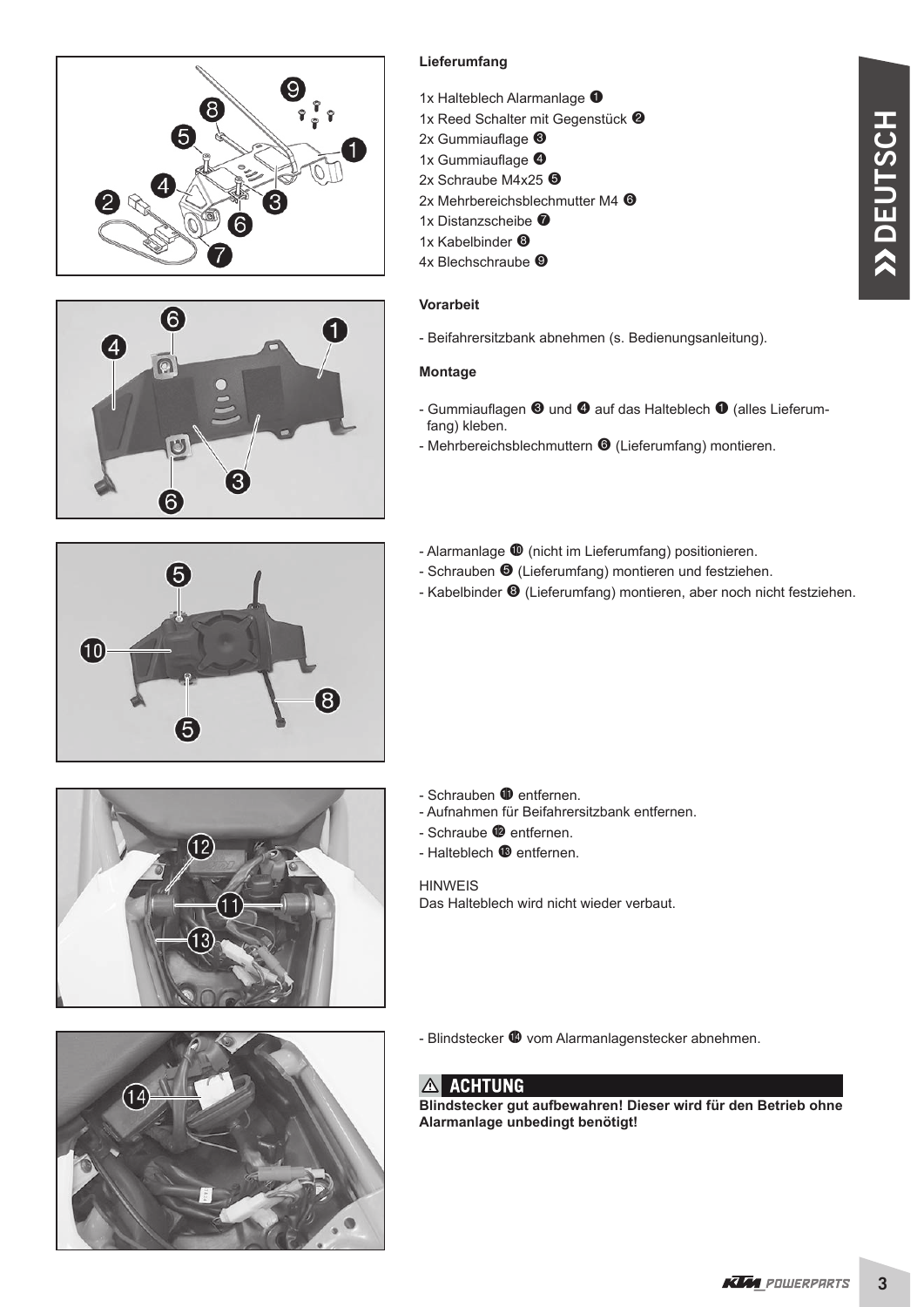



#### **Lieferumfang**

- 1x Halteblech Alarmanlage  $\bullet$
- 1x Reed Schalter mit Gegenstück <sup>2</sup>
- $2x$  Gummiauflage  $\bigcirc$
- 1x Gummiauflage <sup>4</sup>
- 2x Schraube M4x25 <sup>6</sup>
- 2x Mehrbereichsblechmutter M4 <sup>O</sup>
- 1x Distanzscheibe <sup>1</sup>
- 1x Kabelbinder <sup>®</sup>
- 4x Blechschraube <sup>®</sup>

#### **Vorarbeit**

- Beifahrersitzbank abnehmen (s. Bedienungsanleitung).

#### **Montage**

- Gummiauflagen  $\bullet$  und  $\bullet$  auf das Halteblech  $\bullet$  (alles Lieferumfang) kleben.
- Mehrbereichsblechmuttern <sup>O</sup> (Lieferumfang) montieren.
- Alarmanlage  $\Phi$  (nicht im Lieferumfang) positionieren.
- Schrauben  $\Theta$  (Lieferumfang) montieren und festziehen.
- Kabelbinder  $\Theta$  (Lieferumfang) montieren, aber noch nicht festziehen.







- Schrauben **10** entfernen.
- Aufnahmen für Beifahrersitzbank entfernen.
- $-$  Schraube  $\bullet$  entfernen.
- Halteblech <sup>1</sup> entfernen.

HINWEIS Das Halteblech wird nicht wieder verbaut.

- Blindstecker  $\bullet$  vom Alarmanlagenstecker abnehmen.

#### A ACHTUNG

**Blindstecker gut aufbewahren! Dieser wird für den Betrieb ohne Alarmanlage unbedingt benötigt!**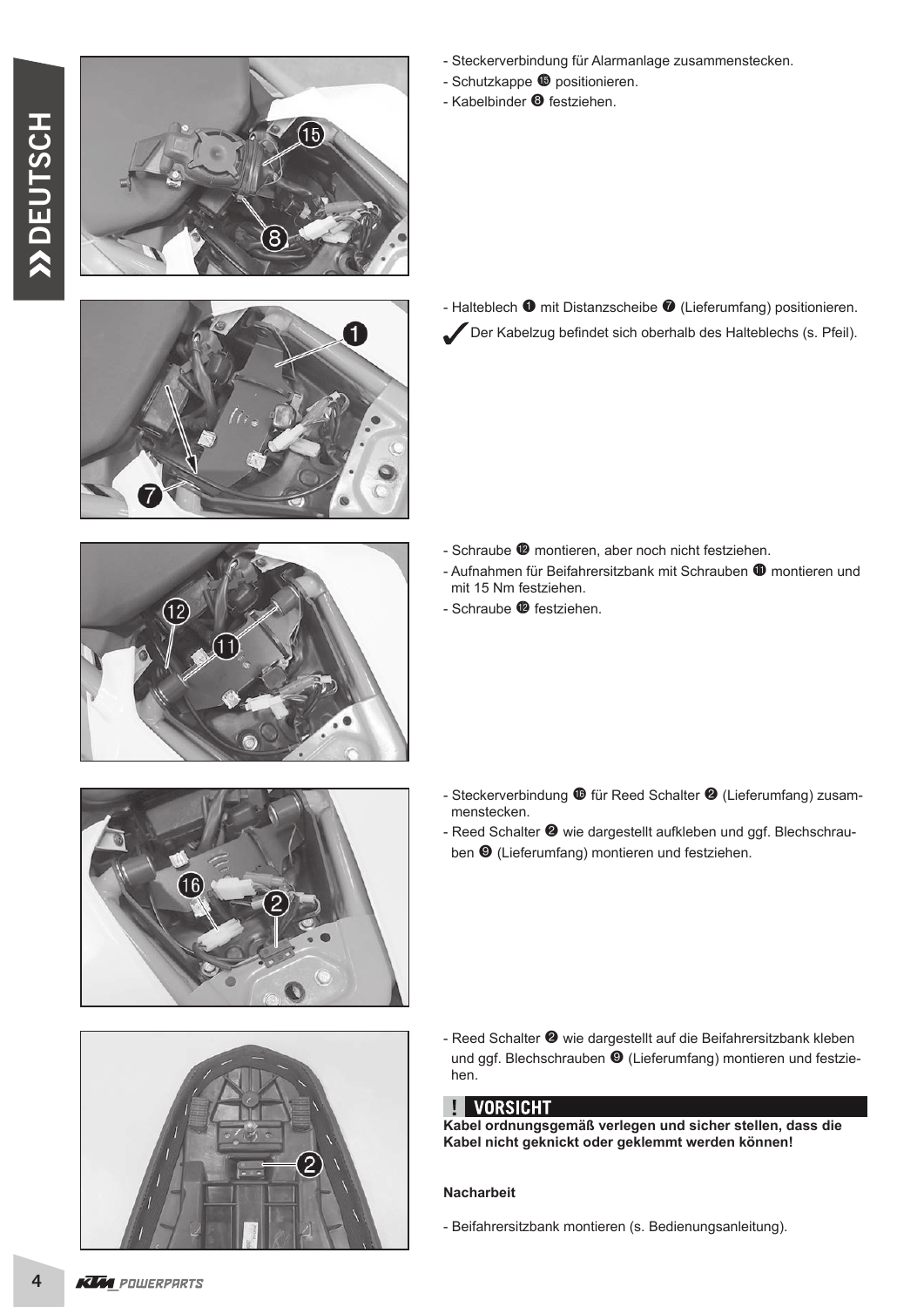

- Steckerverbindung für Alarmanlage zusammenstecken.
- Schutzkappe  $\Phi$  positionieren.
- Kabelbinder <sup>o</sup> festziehen.





- Halteblech  $\bullet$  mit Distanzscheibe  $\bullet$  (Lieferumfang) positionieren. Der Kabelzug befindet sich oberhalb des Halteblechs (s. Pfeil).

- Schraube <sup>®</sup> montieren, aber noch nicht festziehen.
- Aufnahmen für Beifahrersitzbank mit Schrauben  $\Phi$  montieren und mit 15 Nm festziehen.
- Schraube <sup>1</sup> festziehen.

- Steckerverbindung <sup>1</sup> für Reed Schalter <sup>2</sup> (Lieferumfang) zusam menstecken. - Reed Schalter <sup>2</sup> wie dargestellt aufkleben und ggf. Blechschrau
	- ben  $\Theta$  (Lieferumfang) montieren und festziehen.



- Reed Schalter <sup>2</sup> wie dargestellt auf die Beifahrersitzbank kleben und ggf. Blechschrauben <sup>O</sup> (Lieferumfang) montieren und festziehen.

### **TE VORSICHT**

**Kabel ordnungsgemäß verlegen und sicher stellen, dass die Kabel nicht geknickt oder geklemmt werden können!**

#### **Nacharbeit**

- Beifahrersitzbank montieren (s. Bedienungsanleitung).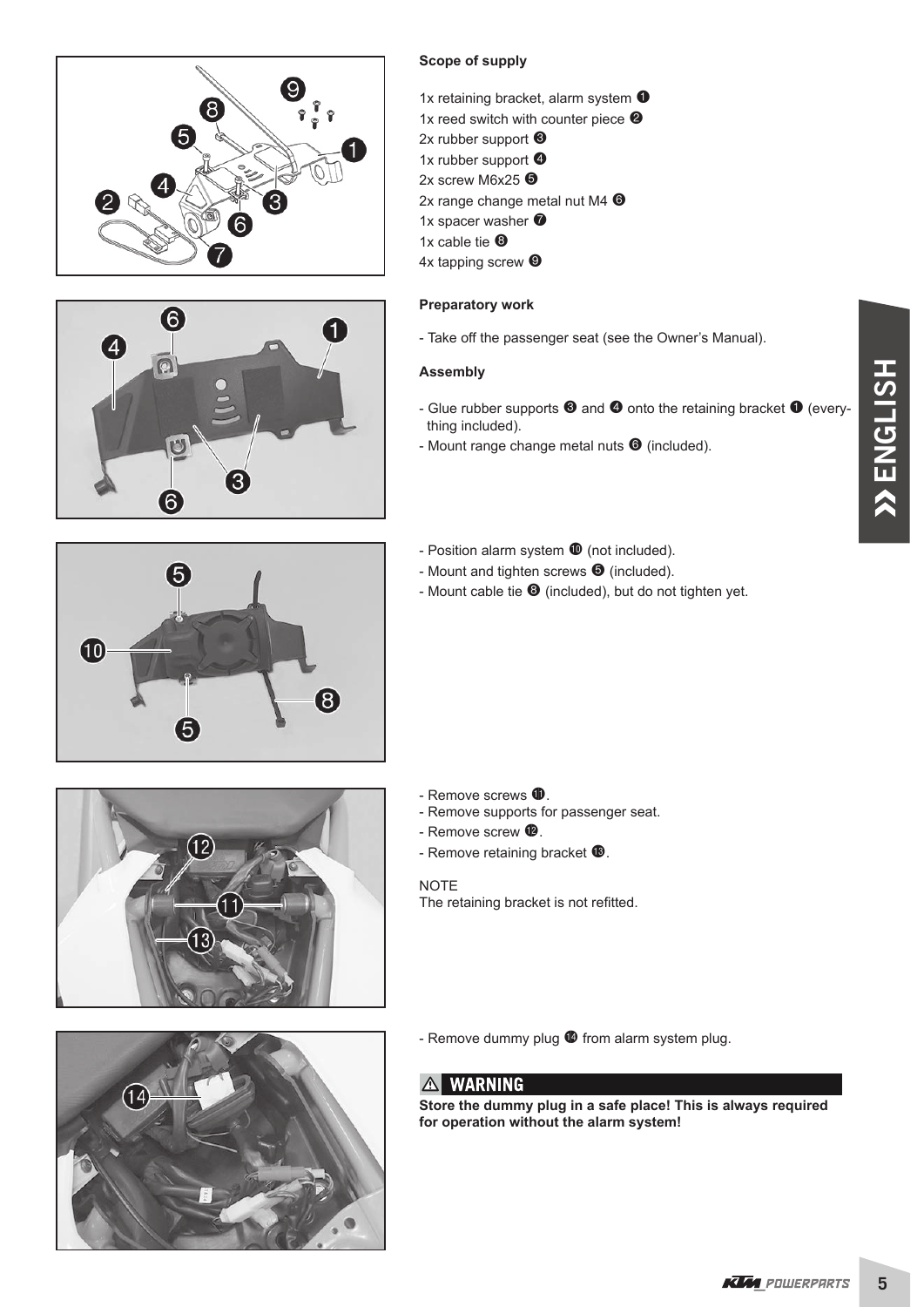





- 1x retaining bracket, alarm system  $\bullet$
- 1x reed switch with counter piece  $\bullet$
- 2x rubber support <sup>6</sup>
- 1x rubber support <sup>4</sup>
- 2x screw M6x25 <sup>6</sup>
- 2x range change metal nut M4 <sup>O</sup>
- 1x spacer washer  $\bullet$
- 1x cable tie  $\Theta$
- 4x tapping screw <sup>O</sup>

#### **Preparatory work**

- Take off the passenger seat (see the Owner's Manual).

#### **Assembly**

- Glue rubber supports  $\bullet$  and  $\bullet$  onto the retaining bracket  $\bullet$  (everything included).
- Mount range change metal nuts  $\bullet$  (included).



- Position alarm system  $\Phi$  (not included).
- Mount and tighten screws  $\bullet$  (included).
- Mount cable tie  $\bullet$  (included), but do not tighten yet.





- Remove screws  $\mathbf 0$ .
- Remove supports for passenger seat.
- Remove screw  $\mathbf{\Phi}$ .
- Remove retaining bracket  $\mathbf{\Phi}$ .

NOTE

The retaining bracket is not refitted.

- Remove dummy plug  $\bullet$  from alarm system plug.

#### A WARNING

**Store the dummy plug in a safe place! This is always required for operation without the alarm system!**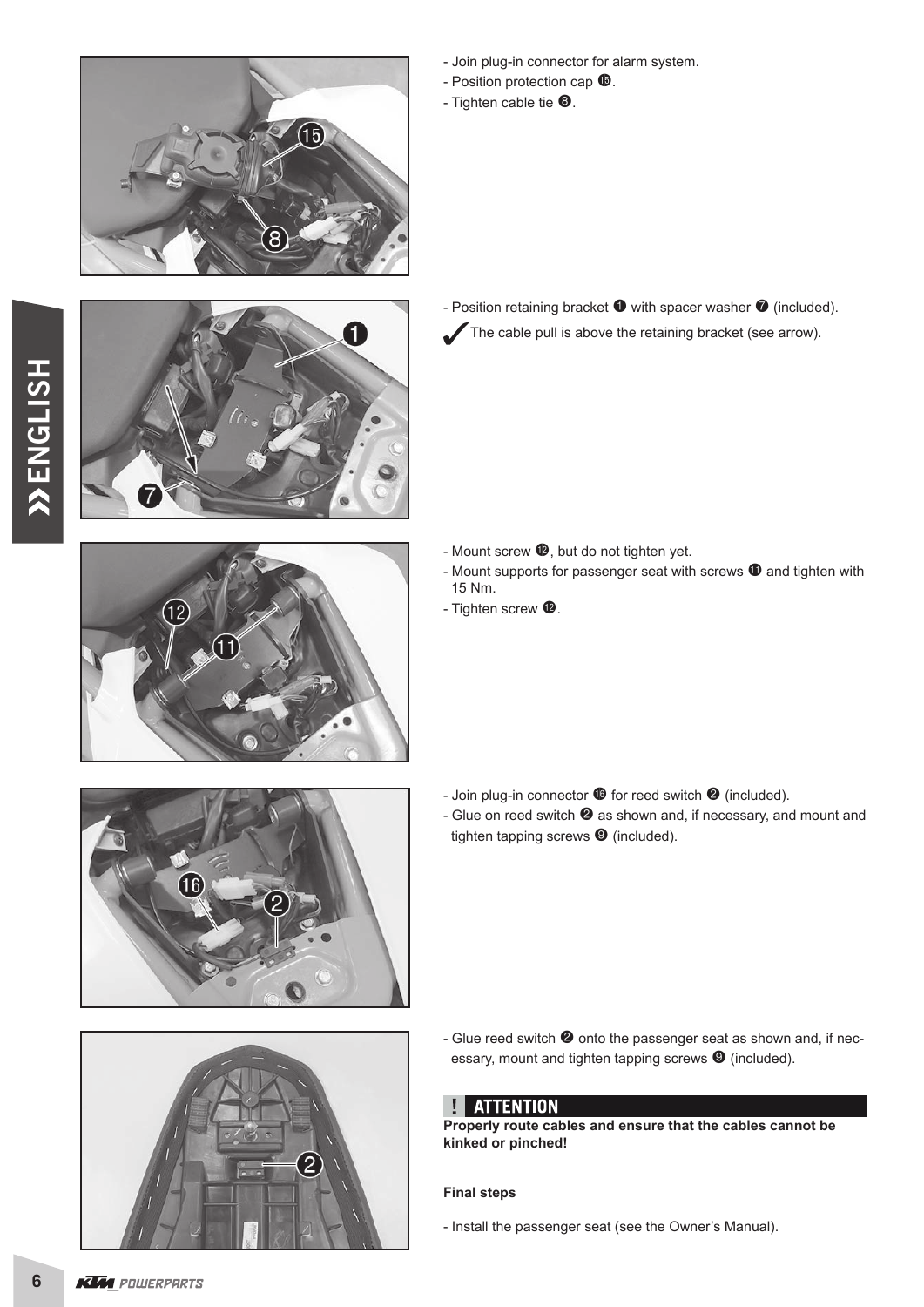

- Join plug-in connector for alarm system.
- Position protection cap  $\mathbf{\Phi}$ .
- Tighten cable tie  $\mathbf{\Theta}$ .



- Position retaining bracket  $\bullet$  with spacer washer  $\bullet$  (included). The cable pull is above the retaining bracket (see arrow).

- 
- Mount screw  $\bullet$ , but do not tighten yet.
- Mount supports for passenger seat with screws  $\Phi$  and tighten with 15 Nm.
- Tighten screw  $\mathbf{\Phi}$ .

- Join plug-in connector  $\bullet$  for reed switch  $\bullet$  (included).
- Glue on reed switch  $\bullet$  as shown and, if necessary, and mount and tighten tapping screws  $\bullet$  (included).



- Glue reed switch  $\bullet$  onto the passenger seat as shown and, if necessary, mount and tighten tapping screws  $\bullet$  (included).

#### **H** ATTENTION

**Properly route cables and ensure that the cables cannot be kinked or pinched!**

#### **Final steps**

- Install the passenger seat (see the Owner's Manual).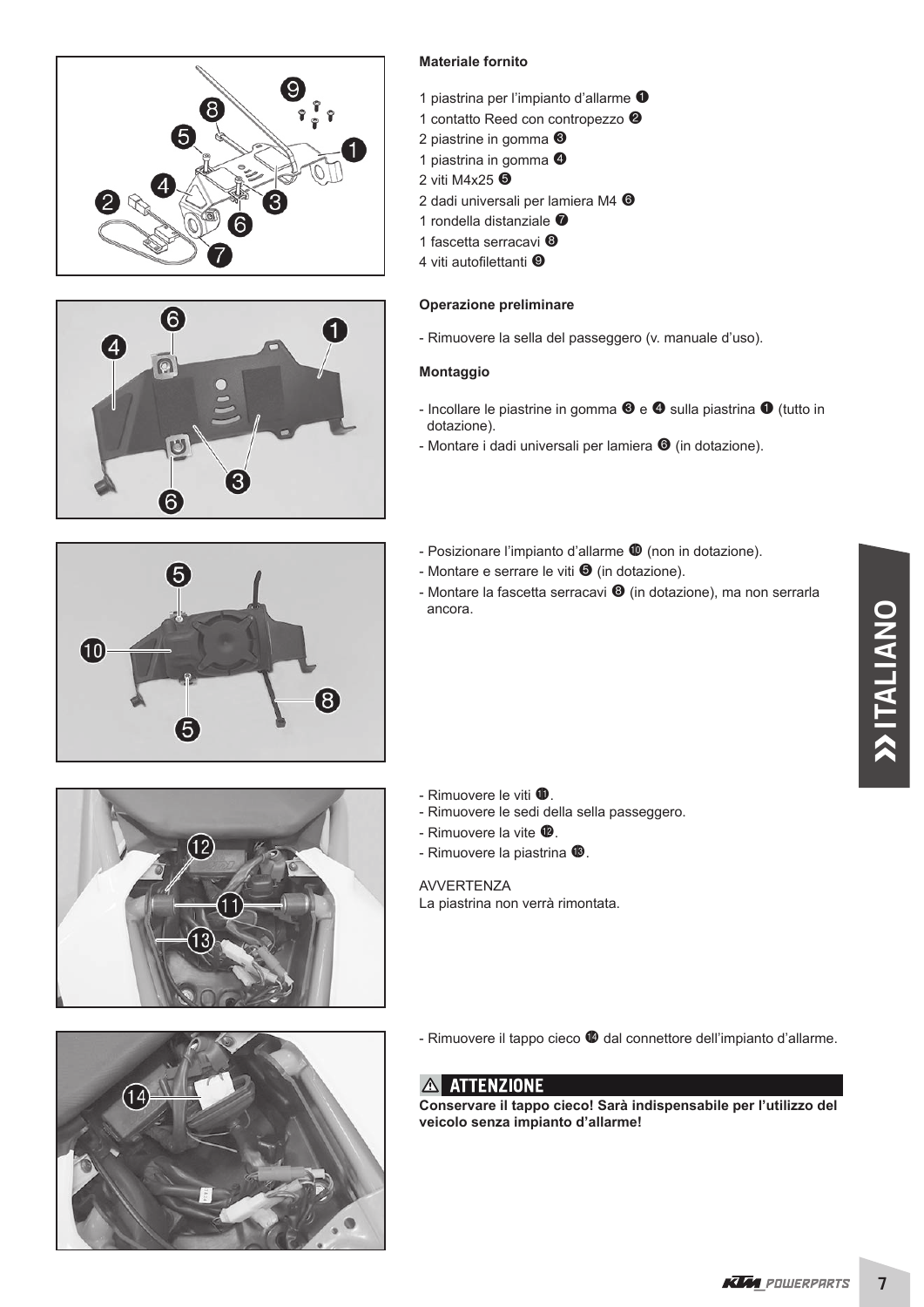



#### **Materiale fornito**

- 1 piastrina per l'impianto d'allarme  $\bullet$
- 1 contatto Reed con contropezzo <sup>2</sup>
- 2 piastrine in gomma <sup>6</sup>
- 1 piastrina in gomma  $\bullet$
- 2 viti M4x25 **O**
- 2 dadi universali per lamiera M4 <sup>O</sup>
- 1 rondella distanziale <sup>7</sup>
- 1 fascetta serracavi <sup>®</sup>
- 4 viti autofilettanti <sup>O</sup>

#### **Operazione preliminare**

- Rimuovere la sella del passeggero (v. manuale d'uso).

#### **Montaggio**

- Incollare le piastrine in gomma  $\mathbf{\Theta}$  e  $\mathbf{\Theta}$  sulla piastrina  $\mathbf{\Theta}$  (tutto in dotazione).
- Montare i dadi universali per lamiera  $\bullet$  (in dotazione).
- Posizionare l'impianto d'allarme  $\Phi$  (non in dotazione).
- Montare e serrare le viti  $\bullet$  (in dotazione).
- Montare la fascetta serracavi  $\bullet$  (in dotazione), ma non serrarla ancora.







- Rimuovere le sedi della sella passeggero.
- Rimuovere la vite  $\mathbf{\Phi}$ .
- Rimuovere la piastrina <sup>(6)</sup>.

AVVERTENZA

La piastrina non verrà rimontata.



- Rimuovere il tappo cieco  $\bullet$  dal connettore dell'impianto d'allarme.

#### **A ATTENZIONE**

**Conservare il tappo cieco! Sarà indispensabile per l'utilizzo del veicolo senza impianto d'allarme!**

 $\overline{7}$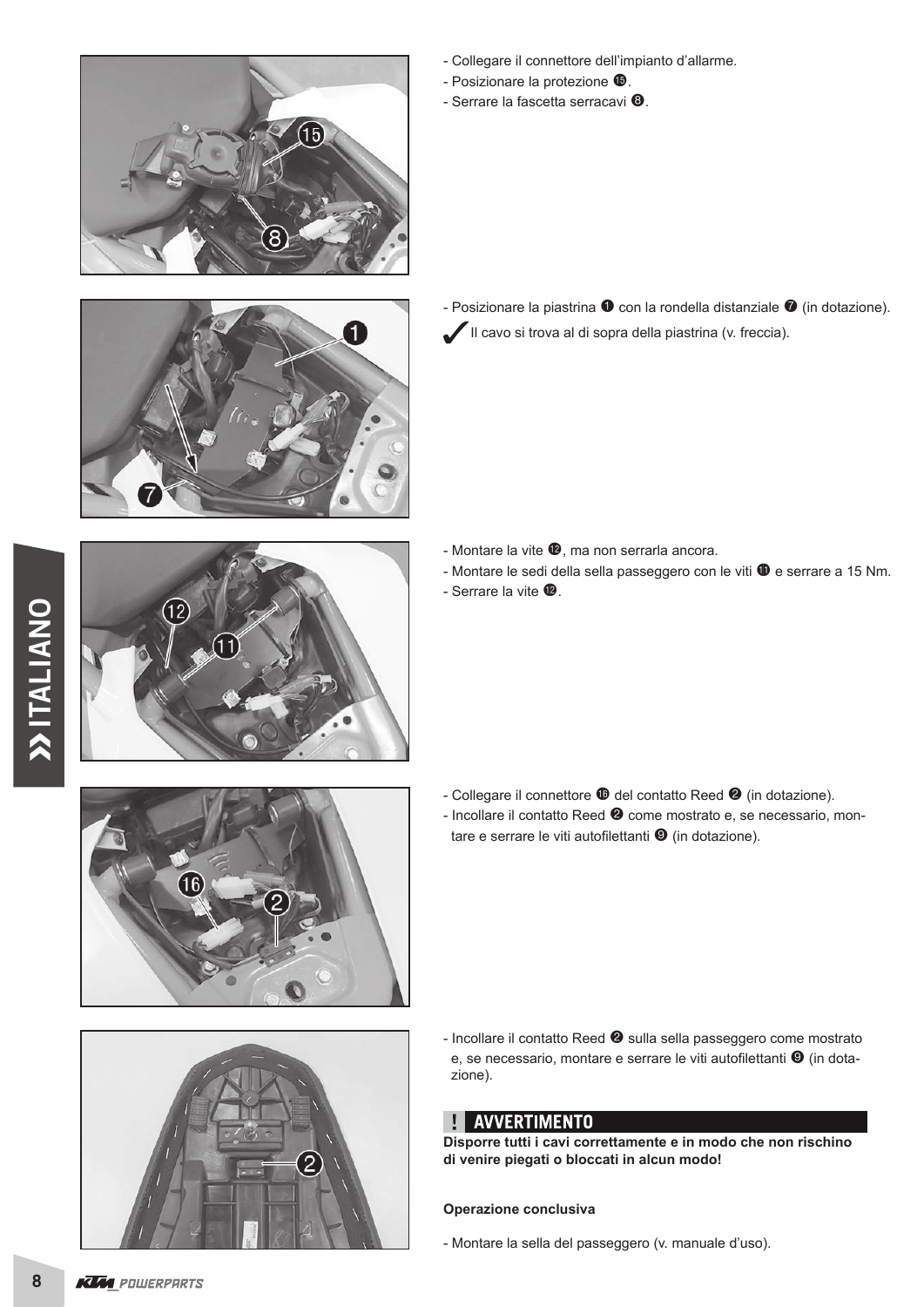

- Collegare il connettore dell'impianto d'allarme.
- Posizionare la protezione  $\mathbf{\Phi}$ .
- Serrare la fascetta serracavi  $\mathbf{\Theta}$ .



- Posizionare la piastrina  $\bullet$  con la rondella distanziale  $\bullet$  (in dotazione). Il cavo si trova al di sopra della piastrina (v. freccia).

- Montare la vite  $\bullet$ , ma non serrarla ancora.
- Montare le sedi della sella passeggero con le viti  $\Phi$  e serrare a 15 Nm.
- Serrare la vite  $\mathbf{\Phi}$ .

- Collegare il connettore  $\Phi$  del contatto Reed  $\Phi$  (in dotazione).
- Incollare il contatto Reed <sup>o</sup> come mostrato e, se necessario, montare e serrare le viti autofilettanti  $\mathbf{\Theta}$  (in dotazione).



- Incollare il contatto Reed <sup>2</sup> sulla sella passeggero come mostrato e, se necessario, montare e serrare le viti autofilettanti <sup>o</sup> (in dotazione).

#### **AVVERTIMENTO**

**Disporre tutti i cavi correttamente e in modo che non rischino di venire piegati o bloccati in alcun modo!**

#### **Operazione conclusiva**

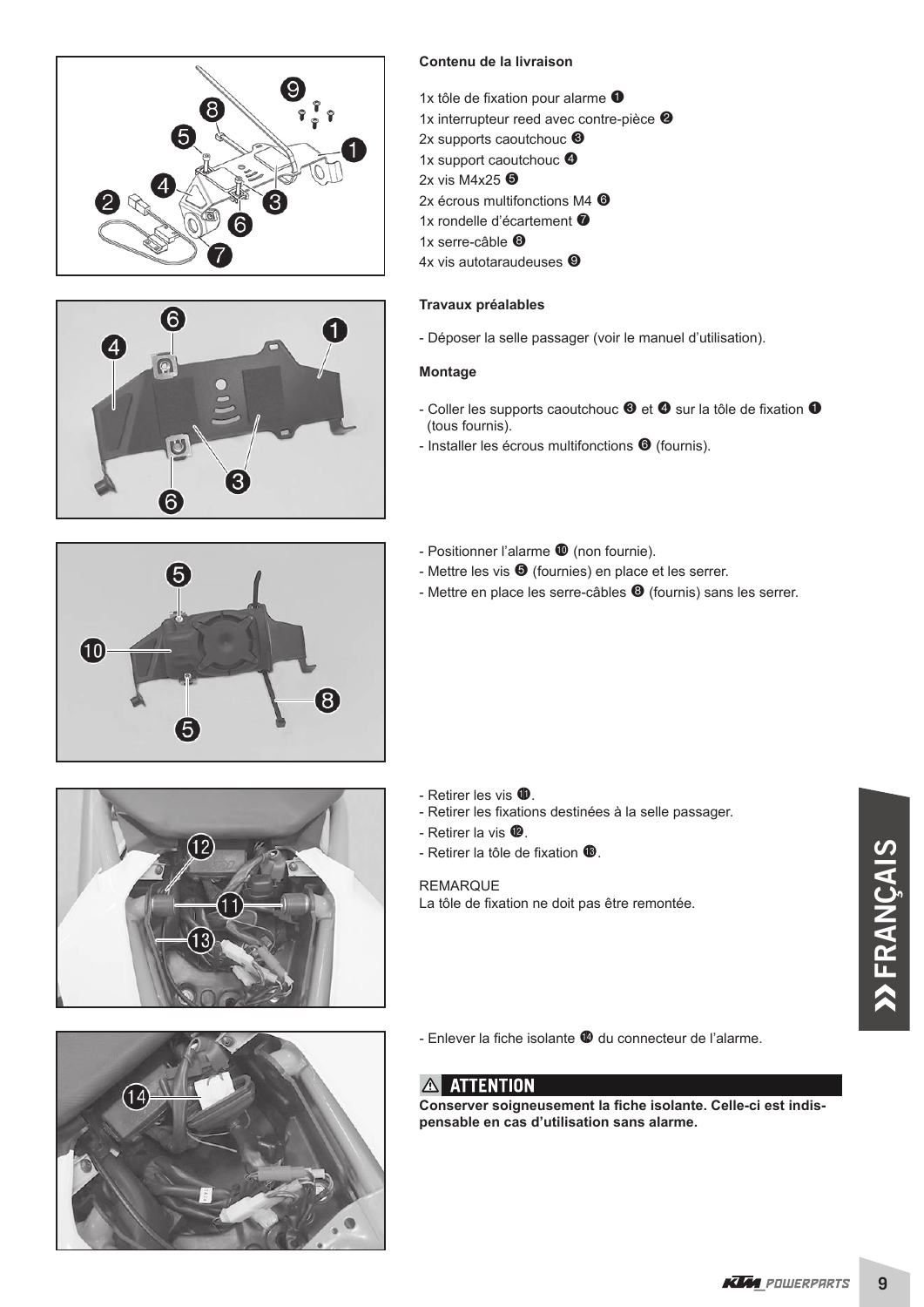





- 1x tôle de fixation pour alarme  $\bullet$
- 1x interrupteur reed avec contre-pièce  $\bullet$
- 2x supports caoutchouc <sup>®</sup>
- 1x support caoutchouc <sup>4</sup>
- 2x vis M4x25 $\Theta$
- 2x écrous multifonctions M4 <sup>O</sup>
- 1x rondelle d'écartement <sup>7</sup>
- 1x serre-câble <sup>3</sup>
- 4x vis autotaraudeuses <sup>O</sup>

#### **Travaux préalables**

- Déposer la selle passager (voir le manuel d'utilisation).

#### **Montage**

- Coller les supports caoutchouc  $\bullet$  et  $\bullet$  sur la tôle de fixation  $\bullet$ (tous fournis).
- Installer les écrous multifonctions  $\bullet$  (fournis).



- Positionner l'alarme  $\Phi$  (non fournie).
- Mettre les vis  $\bigcirc$  (fournies) en place et les serrer.
- Mettre en place les serre-câbles <sup>o</sup> (fournis) sans les serrer.





- Retirer les vis  $\mathbf{\oplus}$ .
- Retirer les fixations destinées à la selle passager.
- Retirer la vis  $\mathbf{\Phi}$ .
- Retirer la tôle de fixation  $\mathbf{\Phi}$ .

#### REMARQUE

La tôle de fixation ne doit pas être remontée.

- Enlever la fiche isolante <sup>(6</sup> du connecteur de l'alarme.

### **A ATTENTION**

Conserver soigneusement la fiche isolante. Celle-ci est indis**pensable en cas d'utilisation sans alarme.**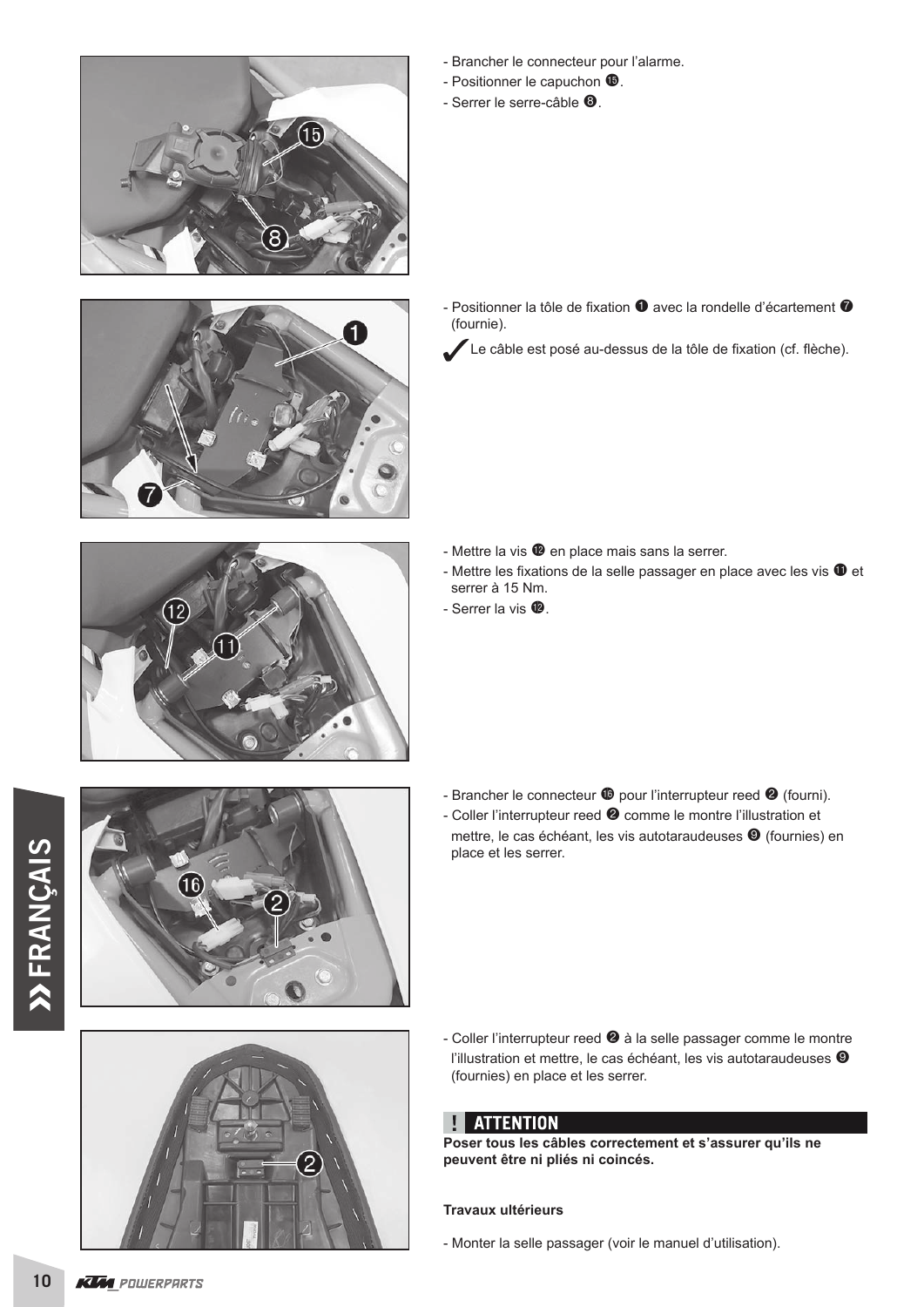

- Positionner le capuchon  $\mathbf{\Phi}$ .
- $-$  Serrer le serre-câble  $\mathbf{\Theta}$ .





- Positionner la tôle de fixation  $\bullet$  avec la rondelle d'écartement  $\bullet$  (fournie).
	- Le câble est posé au-dessus de la tôle de fixation (cf. flèche).



16

- Mettre la vis  $\bullet$  en place mais sans la serrer.
- Mettre les fixations de la selle passager en place avec les vis  $\mathbf 0$  et serrer à 15 Nm.
- $-$  Serrer la vis  $\mathbf{\Phi}$ .

- Brancher le connecteur  $\bullet$  pour l'interrupteur reed  $\bullet$  (fourni).
- Coller l'interrupteur reed <sup>2</sup> comme le montre l'illustration et mettre, le cas échéant, les vis autotaraudeuses <sup>o</sup> (fournies) en place et les serrer.





- Coller l'interrupteur reed <sup>2</sup> à la selle passager comme le montre l'illustration et mettre, le cas échéant, les vis autotaraudeuses <sup>®</sup> (fournies) en place et les serrer.

#### **ATTENTION** Ţ

**Poser tous les câbles correctement et s'assurer qu'ils ne peuvent être ni pliés ni coincés.**

#### **Travaux ultérieurs**

- Monter la selle passager (voir le manuel d'utilisation).

 $10$ **KUM** POWERPARTS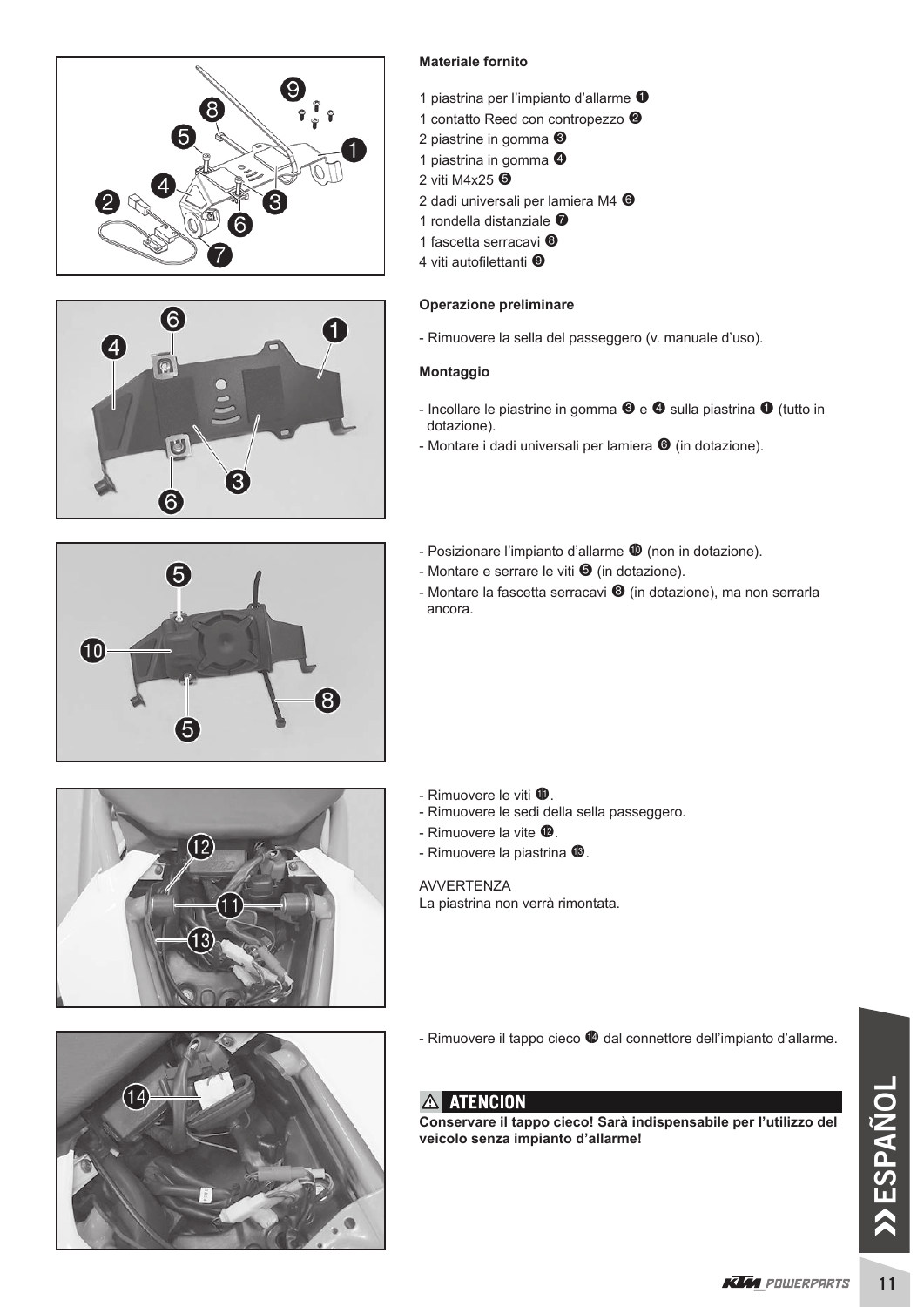



#### **Materiale fornito**

- 1 piastrina per l'impianto d'allarme  $\bullet$
- 1 contatto Reed con contropezzo <sup>2</sup>
- 2 piastrine in gomma <sup>6</sup>
- 1 piastrina in gomma <sup>O</sup>
- 2 viti M4x25 **O**
- 2 dadi universali per lamiera M4 <sup>O</sup>
- 1 rondella distanziale <sup>7</sup>
- 1 fascetta serracavi <sup>®</sup>
- 4 viti autofilettanti <sup>O</sup>

#### **Operazione preliminare**

- Rimuovere la sella del passeggero (v. manuale d'uso).

#### **Montaggio**

- Incollare le piastrine in gomma  $\mathbf{\Theta}$  e  $\mathbf{\Theta}$  sulla piastrina  $\mathbf{\Theta}$  (tutto in dotazione).
- Montare i dadi universali per lamiera  $\bullet$  (in dotazione).
- 6 (10  $\overline{\mathbf{8}}$ 5
- Posizionare l'impianto d'allarme  $\Phi$  (non in dotazione).
- Montare e serrare le viti  $\bullet$  (in dotazione).
- Montare la fascetta serracavi  $\Theta$  (in dotazione), ma non serrarla ancora.

- Rimuovere le viti  $\Phi$ .
- Rimuovere le sedi della sella passeggero.
- Rimuovere la vite  $\mathbf{\Phi}$ .
- Rimuovere la piastrina <sup>(6)</sup>.

AVVERTENZA La piastrina non verrà rimontata.



 $12$ 

- Rimuovere il tappo cieco  $\bullet$  dal connettore dell'impianto d'allarme.

**Conservare il tappo cieco! Sarà indispensabile per l'utilizzo del veicolo senza impianto d'allarme!**

 $11$ 

### A ATENCION